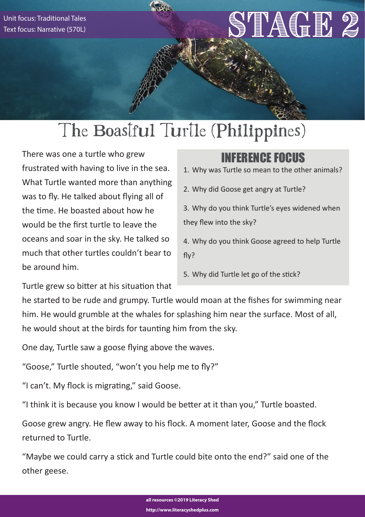

## The Boastful Turtle (Philippines)

There was one a turtle who grew frustrated with having to live in the sea. What Turtle wanted more than anything was to fly. He talked about flying all of the time. He boasted about how he would be the first turtle to leave the oceans and soar in the sky. He talked so much that other turtles couldn't bear to be around him.

## INFERENCE FOCUS

- 1. Why was Turtle so mean to the other animals?
- 2. Why did Goose get angry at Turtle?
- 3. Why do you think Turtle's eyes widened when they flew into the sky?
- 4. Why do you think Goose agreed to help Turtle  $f|v?$
- 5. Why did Turtle let go of the stick?

Turtle grew so bitter at his situation that

he started to be rude and grumpy. Turtle would moan at the fishes for swimming near him. He would grumble at the whales for splashing him near the surface. Most of all, he would shout at the birds for taunting him from the sky.

One day, Turtle saw a goose flying above the waves.

"Goose," Turtle shouted, "won't you help me to fly?"

"I can't. My flock is migrating," said Goose.

"I think it is because you know I would be better at it than you," Turtle boasted.

Goose grew angry. He flew away to his flock. A moment later, Goose and the flock returned to Turtle.

"Maybe we could carry a stick and Turtle could bite onto the end?" said one of the other geese.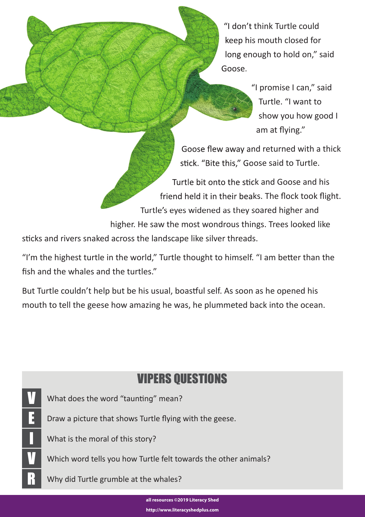"I don't think Turtle could keep his mouth closed for long enough to hold on," said Goose.

> "I promise I can," said Turtle. "I want to show you how good I am at flying."

Goose flew away and returned with a thick stick. "Bite this," Goose said to Turtle.

Turtle bit onto the stick and Goose and his friend held it in their beaks. The flock took flight. Turtle's eyes widened as they soared higher and

higher. He saw the most wondrous things. Trees looked like

sticks and rivers snaked across the landscape like silver threads.

"I'm the highest turtle in the world," Turtle thought to himself. "I am better than the fish and the whales and the turtles."

But Turtle couldn't help but be his usual, boastful self. As soon as he opened his mouth to tell the geese how amazing he was, he plummeted back into the ocean.



**all resources ©2019 Literacy Shed http://www.literacyshedplus.com**